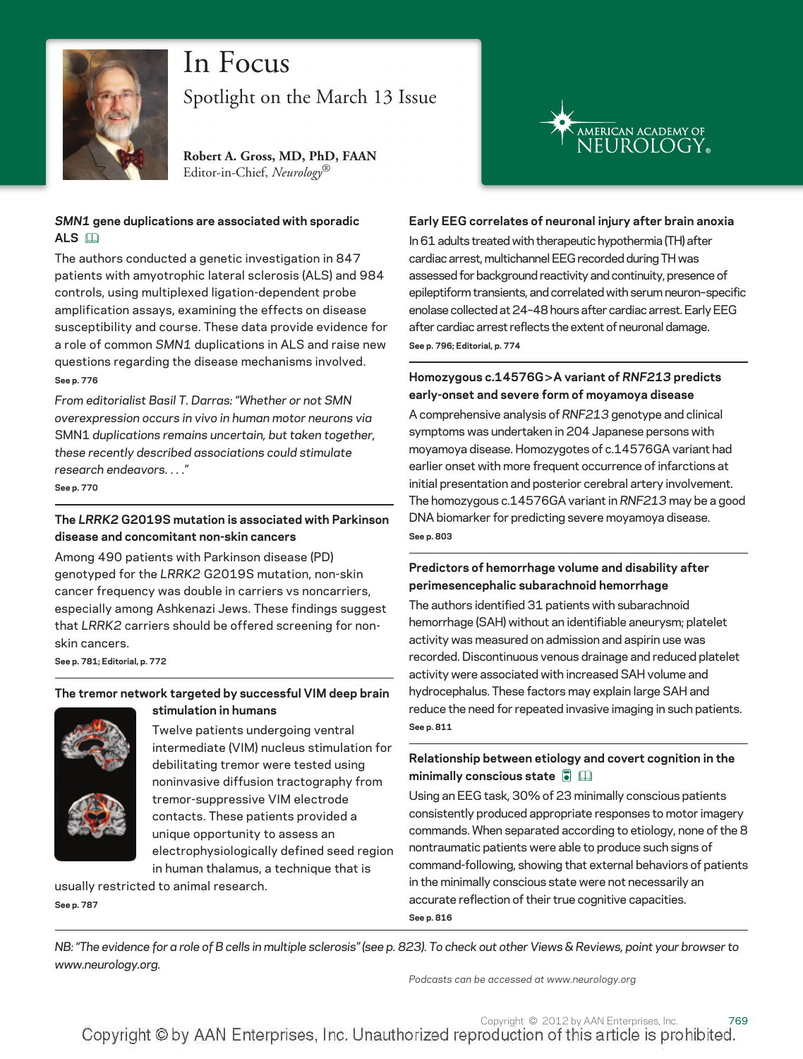

# In Focus

Spotlight on the March 13 Issue

**Robert A. Gross, MD, PhD, FAAN** Editor-in-Chief, *Neurology*®

#### *SMN1* **gene duplications are associated with sporadic ALS**

The authors conducted a genetic investigation in 847 patients with amyotrophic lateral sclerosis (ALS) and 984 controls, using multiplexed ligation-dependent probe amplification assays, examining the effects on disease susceptibility and course. These data provide evidence for a role of common *SMN1* duplications in ALS and raise new questions regarding the disease mechanisms involved. **See p. 776**

*From editorialist Basil T. Darras: "Whether or not SMN overexpression occurs in vivo in human motor neurons via* SMN1 *duplications remains uncertain, but taken together, these recently described associations could stimulate research endeavors.* ...*"*

**See p. 770**

# **The** *LRRK2* **G2019S mutation is associated with Parkinson disease and concomitant non-skin cancers**

Among 490 patients with Parkinson disease (PD) genotyped for the *LRRK2* G2019S mutation, non-skin cancer frequency was double in carriers vs noncarriers, especially among Ashkenazi Jews. These findings suggest that *LRRK2* carriers should be offered screening for nonskin cancers.

**See p. 781; Editorial, p. 772**

### **The tremor network targeted by successful VIM deep brain stimulation in humans**



Twelve patients undergoing ventral intermediate (VIM) nucleus stimulation for debilitating tremor were tested using noninvasive diffusion tractography from tremor-suppressive VIM electrode contacts. These patients provided a unique opportunity to assess an electrophysiologically defined seed region in human thalamus, a technique that is

usually restricted to animal research. **See p. 787**



#### **Early EEG correlates of neuronal injury after brain anoxia**

In 61 adults treated with therapeutic hypothermia (TH) after cardiac arrest, multichannel EEG recorded during TH was assessed for background reactivity and continuity, presence of epileptiform transients, and correlated with serum neuron–specific enolase collected at 24–48 hours after cardiac arrest. Early EEG after cardiac arrest reflects the extent of neuronal damage. **See p. 796; Editorial, p. 774**

#### **Homozygous c.14576G>A variant of** *RNF213* **predicts early-onset and severe form of moyamoya disease**

A comprehensive analysis of *RNF213* genotype and clinical symptoms was undertaken in 204 Japanese persons with moyamoya disease. Homozygotes of c.14576GA variant had earlier onset with more frequent occurrence of infarctions at initial presentation and posterior cerebral artery involvement. The homozygous c.14576GA variant in *RNF213* may be a good DNA biomarker for predicting severe moyamoya disease. **See p. 803**

#### **Predictors of hemorrhage volume and disability after perimesencephalic subarachnoid hemorrhage**

The authors identified 31 patients with subarachnoid hemorrhage (SAH) without an identifiable aneurysm; platelet activity was measured on admission and aspirin use was recorded. Discontinuous venous drainage and reduced platelet activity were associated with increased SAH volume and hydrocephalus. These factors may explain large SAH and reduce the need for repeated invasive imaging in such patients. **See p. 811**

# **Relationship between etiology and covert cognition in the minimally conscious state**  $\overline{\bullet}$  **a**

Using an EEG task, 30% of 23 minimally conscious patients consistently produced appropriate responses to motor imagery commands. When separated according to etiology, none of the 8 nontraumatic patients were able to produce such signs of command-following, showing that external behaviors of patients in the minimally conscious state were not necessarily an accurate reflection of their true cognitive capacities. **See p. 816**

*NB: "The evidence for a role of B cells in multiple sclerosis" (see p. 823). To check out other Views & Reviews, point your browser to www.neurology.org.*

*Podcasts can be accessed at www.neurology.org*